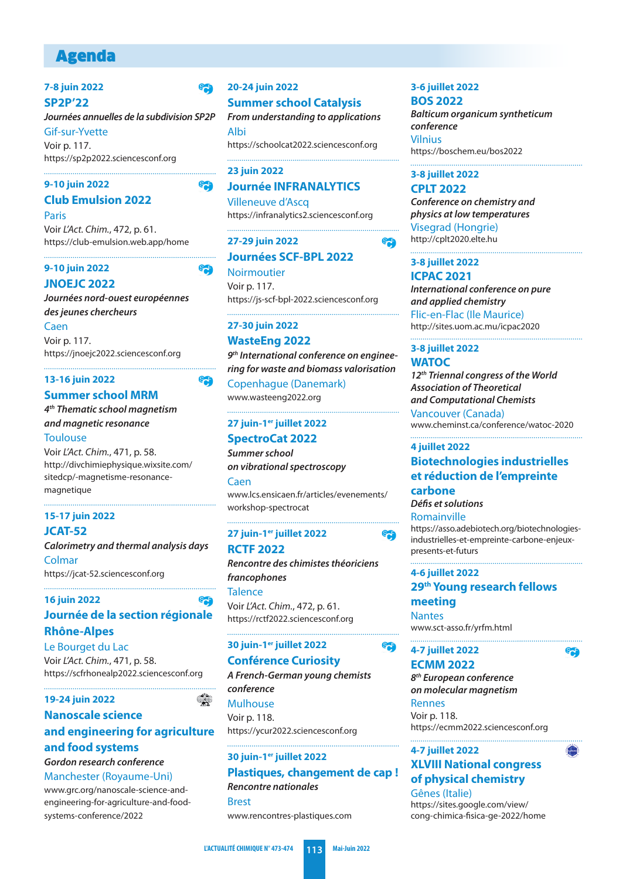# Agenda

#### **7-8 juin 2022 SP2P'22**

**Journées annuelles de la subdivision SP2P** Gif-sur-Yvette Voir p. 117. https://sp2p2022.sciencesconf.org

#### **9-10 juin 2022**

### **Club Emulsion 2022**

**Paris** Voir L'Act. Chim., 472, p. 61. https://club-emulsion.web.app/home

#### **9-10 juin 2022**

**JNOEJC 2022 Journées nord-ouest européennes des jeunes chercheurs** Caen

Voir p. 117. https://jnoejc2022.sciencesconf.org

#### **13-16 juin 2022**

# **Summer school MRM**

**4 th Thematic school magnetism and magnetic resonance Toulouse** 

Voir L'Act. Chim., 471, p. 58. [http://divchimiephysique.wixsite.com/](http://divchimiephysique.wixsite.com/sitedcp/-magnetisme-resonance-magnetique) sitedcp/-magnetisme-resonancemagnetique

#### **15-17 juin 2022 JCAT-52**

**Calorimetry and thermal analysis days** Colmar https://jcat-52.sciencesconf.org

#### **16 juin 2022**

# **Journée de la section régionale Rhône-Alpes**

Le Bourget du Lac Voir L'Act. Chim., 471, p. 58. https://scfrhonealp2022.sciencesconf.org

#### **19-24 juin 2022**

### **Nanoscale science and engineering for agriculture**

# **and food systems**

**Gordon research conference** Manchester (Royaume-Uni)

www.grc.org/nanoscale-science-and[engineering-for-agriculture-and-food](www.grc.org/nanoscale-science-and-engineering-for-agriculture-and-food-systems-conference/2022)systems-conference/2022

# **20-24 juin 2022 Summer school Catalysis**

**e** 

e<sub>o</sub>

**egg** 

**Sep** 

**SA** 

**From understanding to applications** Albi https://schoolcat2022.sciencesconf.org

### **23 juin 2022 Journée INFRANALYTICS**

Villeneuve d'Ascq https://infranalytics2.sciencesconf.org

# **27-29 juin 2022 Journées SCF-BPL 2022**

**Noirmoutier** Voir p. 117. https://js-scf-bpl-2022.sciencesconf.org

#### **27-30 juin 2022**

### **WasteEng 2022**

**9 th International conference on engineering for waste and biomass valorisation**

Copenhague (Danemark) www.wasteeng2022.org

# **27 juin-1er juillet 2022**

**SpectroCat 2022 Summer school** 

**on vibrational spectroscopy** Caen [www.lcs.ensicaen.fr/articles/evenements/](www.lcs.ensicaen.fr/articles/evenements/workshop-spectrocat) workshop-spectrocat

# **27 juin-1er juillet 2022 RCTF 2022**

**Rencontre des chimistes théoriciens francophones Talence** Voir L'Act. Chim., 472, p. 61. https://rctf2022.sciencesconf.org

### **30 juin-1er juillet 2022**

# **Conférence Curiosity**

**A French-German young chemists conference** Mulhouse Voir p. 118.

https://ycur2022.sciencesconf.org 

### **30 juin-1er juillet 2022**

#### **Plastiques, changement de cap ! Rencontre nationales**

Brest www.rencontres-plastiques.com

#### **3-6 juillet 2022 BOS 2022**

**Balticum organicum syntheticum conference** Vilnius https://boschem.eu/bos2022

# **3-8 juillet 2022**

**CPLT 2022 Conference on chemistry and physics at low temperatures** Visegrad (Hongrie) http://cplt2020.elte.hu

#### **3-8 juillet 2022 ICPAC 2021**

e<sub>ch</sub>

S<sub>o</sub>r

S<sub>o</sub>

**International conference on pure and applied chemistry** Flic-en-Flac (Ile Maurice) http://sites.uom.ac.mu/icpac2020

# **3-8 juillet 2022 WATOC**

**12th Triennal congress of the World Association of Theoretical and Computational Chemists** Vancouver (Canada) www.cheminst.ca/conference/watoc-2020

#### **4 juillet 2022**

# **Biotechnologies industrielles et réduction de l'empreinte carbone**

**Défis et solutions**

Romainville [https://asso.adebiotech.org/biotechnologies](https://asso.adebiotech.org/biotechnologies-industrielles-et-empreinte-carbone-enjeux-presents-et-futurs)industrielles-et-empreinte-carbone-enjeuxpresents-et-futurs

S<sub>o</sub>

**MONTHS** 

# **4-6 juillet 2022**

**29th Young research fellows meeting**

**Nantes** www.sct-asso.fr/yrfm.html

# **4-7 juillet 2022**

#### **ECMM 2022**

**8 th European conference on molecular magnetism** 

Rennes Voir p. 118. https://ecmm2022.sciencesconf.org

#### **4-7 juillet 2022**

### **XLVIII National congress of physical chemistry** Gênes (Italie)

https://sites.google.com/view/ [cong-chimica-fisica-ge-2022/home](https://sites.google.com/view/cong-chimica-fisica-ge-2022/home)